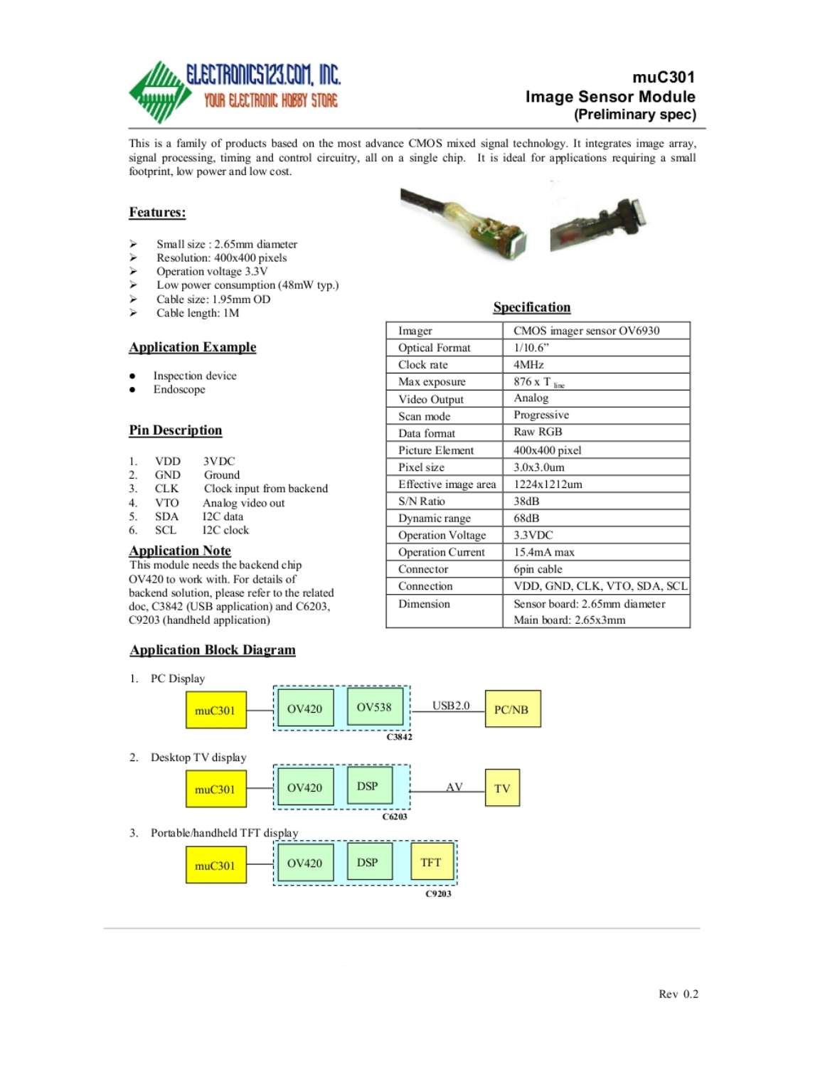

## $muC<sub>301</sub>$ **Image Sensor Module** (Preliminary spec)

This is a family of products based on the most advance CMOS mixed signal technology. It integrates image array, signal processing, timing and control circuitry, all on a single chip. It is ideal for applications requiring a small footprint, low power and low cost.

### Features:

- $\geq$ Small size: 2.65mm diameter
- $\mathbf{r}$ Resolution: 400x400 pixels
- $\triangleright$ Operation voltage 3.3V
- ⋗ Low power consumption (48mW typ.)
- $\triangleright$ Cable size: 1.95mm OD
- $\mathbf{r}$ Cable length: 1M

#### **Application Example**

- Inspection device ٠
- Endoscope

### **Pin Description**

- 3VDC **VDD** 1.
- $2.$ **GND** Ground
- 3. **CLK** Clock input from backend
- $4.$ **VTO** Analog video out
- 5. **SDA** I2C data
- 6. **SCL** I2C clock

## **Application Note**

This module needs the backend chip OV420 to work with. For details of backend solution, please refer to the related doc, C3842 (USB application) and C6203, C9203 (handheld application)

#### **Application Block Diagram**

1. PC Display





### Specification

| Imager                | CMOS imager sensor OV6930     |  |
|-----------------------|-------------------------------|--|
| <b>Optical Format</b> | 1/10.6"                       |  |
| Clock rate            | 4MHz                          |  |
| Max exposure          | 876 x T ine                   |  |
| Video Output          | Analog                        |  |
| Scan mode             | Progressive                   |  |
| Data format           | Raw RGB                       |  |
| Picture Element       | 400x400 pixel                 |  |
| Pixel size            | 3.0x3.0um                     |  |
| Effective image area  | 1224x1212um                   |  |
| S/N Ratio             | 38dB                          |  |
| Dynamic range         | 68dB                          |  |
| Operation Voltage     | 3.3VDC                        |  |
| Operation Current     | 15.4mA max                    |  |
| Connector             | 6pin cable                    |  |
| Connection            | VDD, GND, CLK, VTO, SDA, SCL  |  |
| Dimension             | Sensor board: 2.65mm diameter |  |
|                       | Main board: 2.65x3mm          |  |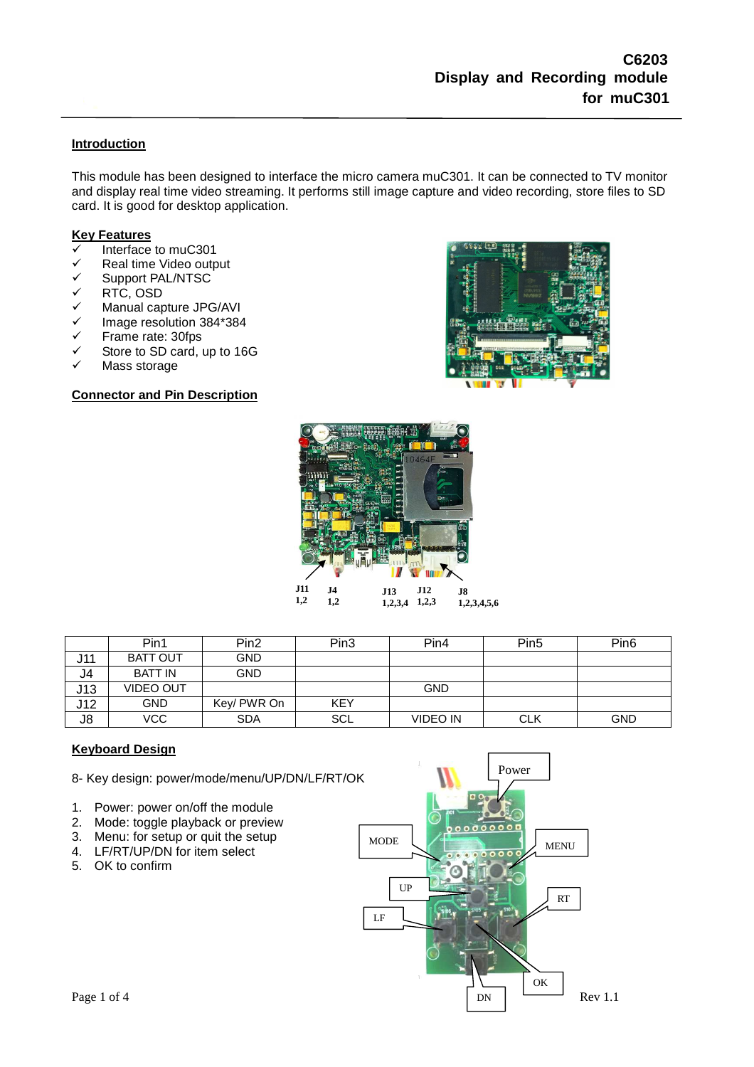### **Introduction**

This module has been designed to interface the micro camera muC301. It can be connected to TV monitor and display real time video streaming. It performs still image capture and video recording, store files to SD card. It is good for desktop application.

#### **Key Features**

- Interface to muC301
- V Real time Video output<br>V Support PAL/NTSC
- V Support PAL/NTSC<br>V RTC, OSD
- RTC, OSD
- $\checkmark$  Manual capture JPG/AVI<br> $\checkmark$  Image resolution 384\*384
- $\checkmark$  Image resolution 384\*384<br> $\checkmark$  Frame rate: 30fps
- Frame rate: 30fps
- $\checkmark$  Store to SD card, up to 16G
- Mass storage

### **Connector and Pin Description**





|     | Pin1             | Pin <sub>2</sub> | Pin3       | Pin4            | Pin <sub>5</sub> | Pin <sub>6</sub> |
|-----|------------------|------------------|------------|-----------------|------------------|------------------|
| J11 | <b>BATT OUT</b>  | <b>GND</b>       |            |                 |                  |                  |
| J4  | <b>BATT IN</b>   | <b>GND</b>       |            |                 |                  |                  |
| J13 | <b>VIDEO OUT</b> |                  |            | <b>GND</b>      |                  |                  |
| J12 | <b>GND</b>       | Key/ PWR On      | <b>KEY</b> |                 |                  |                  |
| J8  | VCC              | <b>SDA</b>       | SCL        | <b>VIDEO IN</b> | <b>CLK</b>       | <b>GND</b>       |

### **Keyboard Design**

8- Key design: power/mode/menu/UP/DN/LF/RT/OK

- 1. Power: power on/off the module
- 2. Mode: toggle playback or preview
- 3. Menu: for setup or quit the setup
- 4. LF/RT/UP/DN for item select
- 5. OK to confirm

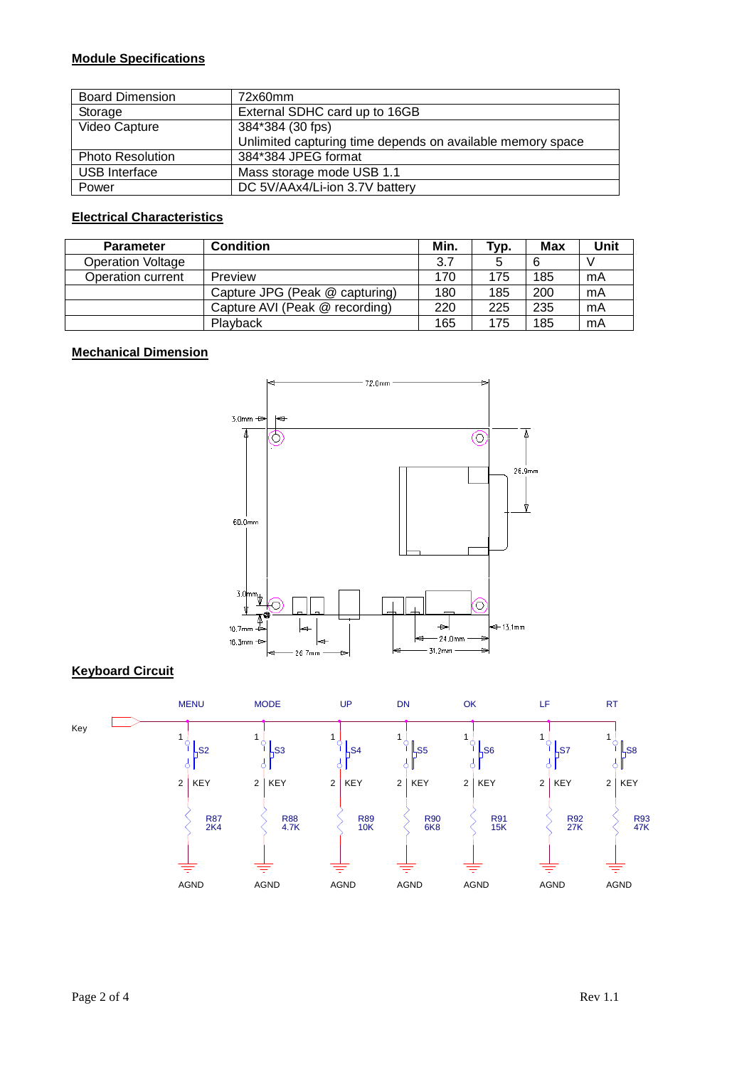## **Module Specifications**

| <b>Board Dimension</b>  | 72x60mm                                                    |  |
|-------------------------|------------------------------------------------------------|--|
| Storage                 | External SDHC card up to 16GB                              |  |
| Video Capture           | 384*384 (30 fps)                                           |  |
|                         | Unlimited capturing time depends on available memory space |  |
| <b>Photo Resolution</b> | 384*384 JPEG format                                        |  |
| USB Interface           | Mass storage mode USB 1.1                                  |  |
| Power                   | DC 5V/AAx4/Li-ion 3.7V battery                             |  |

# **Electrical Characteristics**

| <b>Parameter</b>         | <b>Condition</b>               | Min. | Typ. | Max | Unit |
|--------------------------|--------------------------------|------|------|-----|------|
| <b>Operation Voltage</b> |                                | 3.7  |      | 6   |      |
| Operation current        | Preview                        | 170  | 175  | 185 | mA   |
|                          | Capture JPG (Peak @ capturing) | 180  | 185  | 200 | mA   |
|                          | Capture AVI (Peak @ recording) | 220  | 225  | 235 | mA   |
|                          | Playback                       | 165  | 175  | 185 | mA   |

## **Mechanical Dimension**



### **Keyboard Circuit**

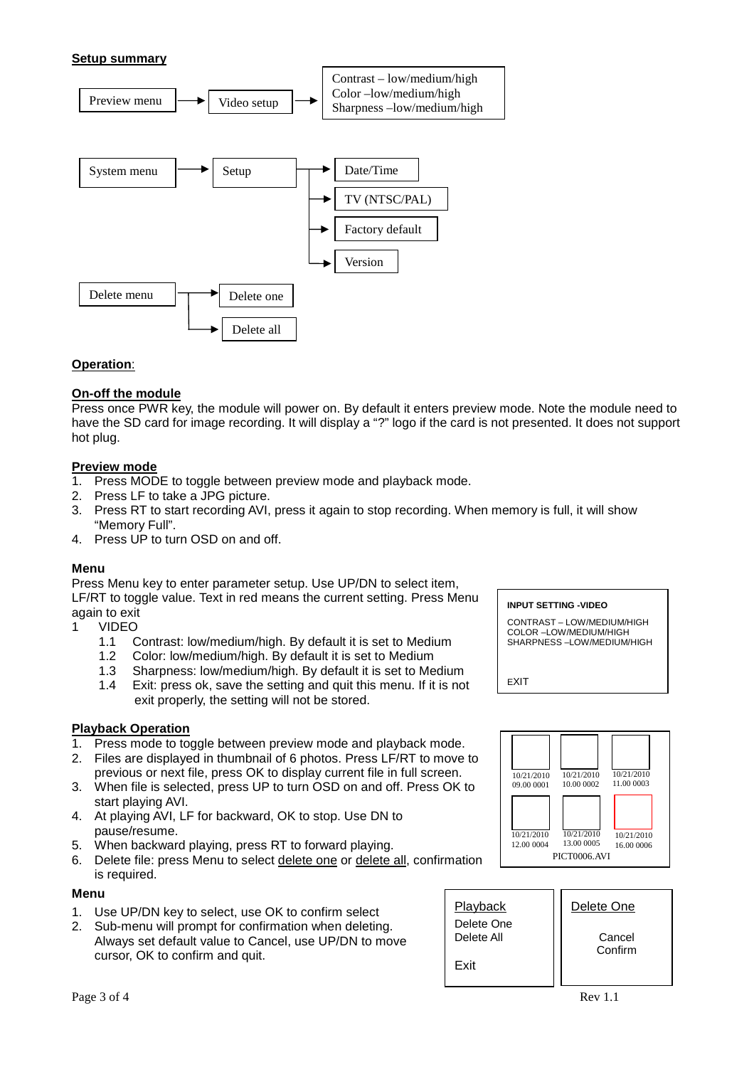### **Setup summary**



### **Operation**:

### **On-off the module**

Press once PWR key, the module will power on. By default it enters preview mode. Note the module need to have the SD card for image recording. It will display a "?" logo if the card is not presented. It does not support hot plug.

### **Preview mode**

- 1. Press MODE to toggle between preview mode and playback mode.
- 
- 2. Press LF to take a JPG picture.<br>3. Press RT to start recording AVI. Press RT to start recording AVI, press it again to stop recording. When memory is full, it will show "Memory Full".
- 4. Press UP to turn OSD on and off.

#### **Menu**

Press Menu key to enter parameter setup. Use UP/DN to select item, LF/RT to toggle value. Text in red means the current setting. Press Menu again to exit

- 1 VIDEO<br>1.1 C
	- Contrast: low/medium/high. By default it is set to Medium
	- 1.2 Color: low/medium/high. By default it is set to Medium
	- 1.3 Sharpness: low/medium/high. By default it is set to Medium
	- 1.4 Exit: press ok, save the setting and quit this menu. If it is not exit properly, the setting will not be stored.

#### **Playback Operation**

- 1. Press mode to toggle between preview mode and playback mode.
- 2. Files are displayed in thumbnail of 6 photos. Press LF/RT to move to previous or next file, press OK to display current file in full screen.
- 3. When file is selected, press UP to turn OSD on and off. Press OK to start playing AVI.
- 4. At playing AVI, LF for backward, OK to stop. Use DN to pause/resume.
- 
- 5. When backward playing, press RT to forward playing.<br>6. Delete file: press Menu to select delete one or delete 6. Delete file: press Menu to select delete one or delete all, confirmation is required.

#### **Menu**

- 1. Use UP/DN key to select, use OK to confirm select
- 2. Sub-menu will prompt for confirmation when deleting. Always set default value to Cancel, use UP/DN to move cursor, OK to confirm and quit.

#### **INPUT SETTING -VIDEO**

CONTRAST – LOW/MEDIUM/HIGH COLOR –LOW/MEDIUM/HIGH SHARPNESS –LOW/MEDIUM/HIGH

EXIT